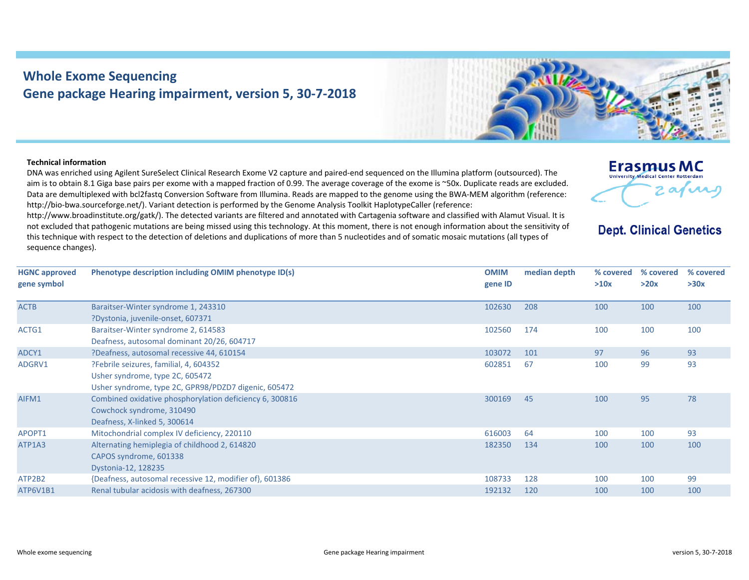## **Whole Exome Sequencing Gene package Hearing impairment, version 5, 30‐7‐2018**



## **Technical information**

DNA was enriched using Agilent SureSelect Clinical Research Exome V2 capture and paired‐end sequenced on the Illumina platform (outsourced). The aim is to obtain 8.1 Giga base pairs per exome with <sup>a</sup> mapped fraction of 0.99. The average coverage of the exome is ~50x. Duplicate reads are excluded. Data are demultiplexed with bcl2fastq Conversion Software from Illumina. Reads are mapped to the genome using the BWA‐MEM algorithm (reference: http://bio-bwa.sourceforge.net/). Variant detection is performed by the Genome Analysis Toolkit HaplotypeCaller (reference:

http://www.broadinstitute.org/gatk/). The detected variants are filtered and annotated with Cartagenia software and classified with Alamut Visual. It is not excluded that pathogenic mutations are being missed using this technology. At this moment, there is not enough information about the sensitivity of this technique with respect to the detection of deletions and duplications of more than 5 nucleotides and of somatic mosaic mutations (all types of sequence changes).



**Dept. Clinical Genetics** 

| <b>HGNC approved</b> | Phenotype description including OMIM phenotype ID(s)    | <b>OMIM</b> | median depth | % covered | % covered | % covered |
|----------------------|---------------------------------------------------------|-------------|--------------|-----------|-----------|-----------|
| gene symbol          |                                                         | gene ID     |              | >10x      | >20x      | >30x      |
| <b>ACTB</b>          | Baraitser-Winter syndrome 1, 243310                     | 102630      | 208          | 100       | 100       | 100       |
|                      | ?Dystonia, juvenile-onset, 607371                       |             |              |           |           |           |
| ACTG1                | Baraitser-Winter syndrome 2, 614583                     | 102560      | 174          | 100       | 100       | 100       |
|                      | Deafness, autosomal dominant 20/26, 604717              |             |              |           |           |           |
| ADCY1                | ?Deafness, autosomal recessive 44, 610154               | 103072      | 101          | 97        | 96        | 93        |
| ADGRV1               | ?Febrile seizures, familial, 4, 604352                  | 602851      | 67           | 100       | 99        | 93        |
|                      | Usher syndrome, type 2C, 605472                         |             |              |           |           |           |
|                      | Usher syndrome, type 2C, GPR98/PDZD7 digenic, 605472    |             |              |           |           |           |
| AIFM1                | Combined oxidative phosphorylation deficiency 6, 300816 | 300169      | 45           | 100       | 95        | 78        |
|                      | Cowchock syndrome, 310490                               |             |              |           |           |           |
|                      | Deafness, X-linked 5, 300614                            |             |              |           |           |           |
| APOPT1               | Mitochondrial complex IV deficiency, 220110             | 616003      | 64           | 100       | 100       | 93        |
| ATP1A3               | Alternating hemiplegia of childhood 2, 614820           | 182350      | 134          | 100       | 100       | 100       |
|                      | CAPOS syndrome, 601338                                  |             |              |           |           |           |
|                      | Dystonia-12, 128235                                     |             |              |           |           |           |
| ATP2B2               | {Deafness, autosomal recessive 12, modifier of}, 601386 | 108733      | 128          | 100       | 100       | 99        |
| ATP6V1B1             | Renal tubular acidosis with deafness, 267300            | 192132      | 120          | 100       | 100       | 100       |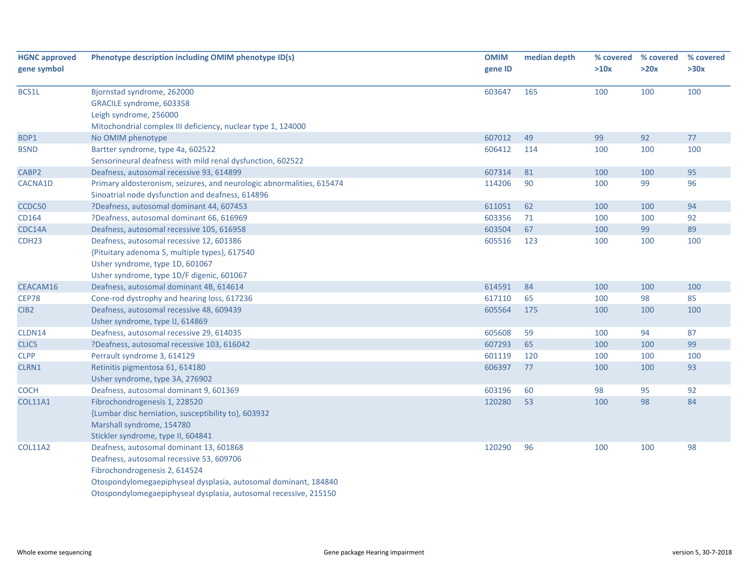| <b>HGNC approved</b><br>gene symbol | Phenotype description including OMIM phenotype ID(s)                  | <b>OMIM</b><br>gene ID | median depth | % covered<br>>10x | % covered<br>>20x | % covered<br>>30x |
|-------------------------------------|-----------------------------------------------------------------------|------------------------|--------------|-------------------|-------------------|-------------------|
|                                     |                                                                       |                        |              |                   |                   |                   |
| BCS1L                               | Bjornstad syndrome, 262000                                            | 603647                 | 165          | 100               | 100               | 100               |
|                                     | GRACILE syndrome, 603358                                              |                        |              |                   |                   |                   |
|                                     | Leigh syndrome, 256000                                                |                        |              |                   |                   |                   |
|                                     | Mitochondrial complex III deficiency, nuclear type 1, 124000          |                        |              |                   |                   |                   |
| BDP1                                | No OMIM phenotype                                                     | 607012                 | 49           | 99                | 92                | 77                |
| <b>BSND</b>                         | Bartter syndrome, type 4a, 602522                                     | 606412                 | 114          | 100               | 100               | 100               |
|                                     | Sensorineural deafness with mild renal dysfunction, 602522            |                        |              |                   |                   |                   |
| CABP2                               | Deafness, autosomal recessive 93, 614899                              | 607314                 | 81           | 100               | 100               | 95                |
| CACNA1D                             | Primary aldosteronism, seizures, and neurologic abnormalities, 615474 | 114206                 | 90           | 100               | 99                | 96                |
|                                     | Sinoatrial node dysfunction and deafness, 614896                      |                        |              |                   |                   |                   |
| CCDC50                              | ?Deafness, autosomal dominant 44, 607453                              | 611051                 | 62           | 100               | 100               | 94                |
| CD164                               | ?Deafness, autosomal dominant 66, 616969                              | 603356                 | 71           | 100               | 100               | 92                |
| CDC14A                              | Deafness, autosomal recessive 105, 616958                             | 603504                 | 67           | 100               | 99                | 89                |
| CDH <sub>23</sub>                   | Deafness, autosomal recessive 12, 601386                              | 605516                 | 123          | 100               | 100               | 100               |
|                                     | {Pituitary adenoma 5, multiple types}, 617540                         |                        |              |                   |                   |                   |
|                                     | Usher syndrome, type 1D, 601067                                       |                        |              |                   |                   |                   |
|                                     | Usher syndrome, type 1D/F digenic, 601067                             |                        |              |                   |                   |                   |
| CEACAM16                            | Deafness, autosomal dominant 4B, 614614                               | 614591                 | 84           | 100               | 100               | 100               |
| <b>CEP78</b>                        | Cone-rod dystrophy and hearing loss, 617236                           | 617110                 | 65           | 100               | 98                | 85                |
| CIB <sub>2</sub>                    | Deafness, autosomal recessive 48, 609439                              | 605564                 | 175          | 100               | 100               | 100               |
|                                     | Usher syndrome, type IJ, 614869                                       |                        |              |                   |                   |                   |
| CLDN14                              | Deafness, autosomal recessive 29, 614035                              | 605608                 | 59           | 100               | 94                | 87                |
| CLIC5                               | ?Deafness, autosomal recessive 103, 616042                            | 607293                 | 65           | 100               | 100               | 99                |
| <b>CLPP</b>                         | Perrault syndrome 3, 614129                                           | 601119                 | 120          | 100               | 100               | 100               |
| CLRN1                               | Retinitis pigmentosa 61, 614180                                       | 606397                 | 77           | 100               | 100               | 93                |
|                                     | Usher syndrome, type 3A, 276902                                       |                        |              |                   |                   |                   |
| <b>COCH</b>                         | Deafness, autosomal dominant 9, 601369                                | 603196                 | 60           | 98                | 95                | 92                |
| <b>COL11A1</b>                      | Fibrochondrogenesis 1, 228520                                         | 120280                 | 53           | 100               | 98                | 84                |
|                                     | {Lumbar disc herniation, susceptibility to}, 603932                   |                        |              |                   |                   |                   |
|                                     | Marshall syndrome, 154780                                             |                        |              |                   |                   |                   |
|                                     | Stickler syndrome, type II, 604841                                    |                        |              |                   |                   |                   |
| <b>COL11A2</b>                      | Deafness, autosomal dominant 13, 601868                               | 120290                 | 96           | 100               | 100               | 98                |
|                                     | Deafness, autosomal recessive 53, 609706                              |                        |              |                   |                   |                   |
|                                     | Fibrochondrogenesis 2, 614524                                         |                        |              |                   |                   |                   |
|                                     | Otospondylomegaepiphyseal dysplasia, autosomal dominant, 184840       |                        |              |                   |                   |                   |
|                                     | Otospondylomegaepiphyseal dysplasia, autosomal recessive, 215150      |                        |              |                   |                   |                   |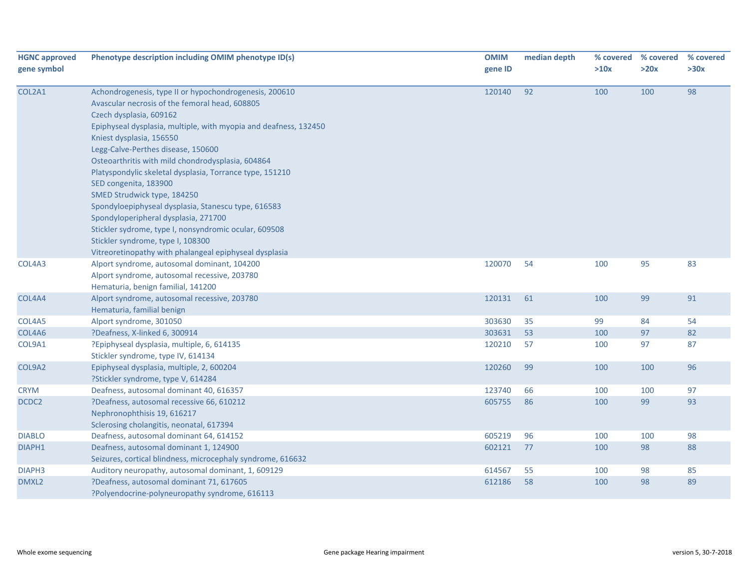| <b>HGNC approved</b><br>gene symbol | Phenotype description including OMIM phenotype ID(s)                                                                                                                                                                                                                                                                                                                                                                                                                                                                                                                                                                                                                                                      | <b>OMIM</b><br>gene ID | median depth | % covered<br>>10x | % covered<br>>20x | % covered<br>>30x |
|-------------------------------------|-----------------------------------------------------------------------------------------------------------------------------------------------------------------------------------------------------------------------------------------------------------------------------------------------------------------------------------------------------------------------------------------------------------------------------------------------------------------------------------------------------------------------------------------------------------------------------------------------------------------------------------------------------------------------------------------------------------|------------------------|--------------|-------------------|-------------------|-------------------|
| COL2A1                              | Achondrogenesis, type II or hypochondrogenesis, 200610<br>Avascular necrosis of the femoral head, 608805<br>Czech dysplasia, 609162<br>Epiphyseal dysplasia, multiple, with myopia and deafness, 132450<br>Kniest dysplasia, 156550<br>Legg-Calve-Perthes disease, 150600<br>Osteoarthritis with mild chondrodysplasia, 604864<br>Platyspondylic skeletal dysplasia, Torrance type, 151210<br>SED congenita, 183900<br>SMED Strudwick type, 184250<br>Spondyloepiphyseal dysplasia, Stanescu type, 616583<br>Spondyloperipheral dysplasia, 271700<br>Stickler sydrome, type I, nonsyndromic ocular, 609508<br>Stickler syndrome, type I, 108300<br>Vitreoretinopathy with phalangeal epiphyseal dysplasia | 120140                 | 92           | 100               | 100               | 98                |
| COL4A3                              | Alport syndrome, autosomal dominant, 104200<br>Alport syndrome, autosomal recessive, 203780<br>Hematuria, benign familial, 141200                                                                                                                                                                                                                                                                                                                                                                                                                                                                                                                                                                         | 120070                 | 54           | 100               | 95                | 83                |
| COL4A4                              | Alport syndrome, autosomal recessive, 203780<br>Hematuria, familial benign                                                                                                                                                                                                                                                                                                                                                                                                                                                                                                                                                                                                                                | 120131                 | 61           | 100               | 99                | 91                |
| COL4A5                              | Alport syndrome, 301050                                                                                                                                                                                                                                                                                                                                                                                                                                                                                                                                                                                                                                                                                   | 303630                 | 35           | 99                | 84                | 54                |
| COL4A6                              | ?Deafness, X-linked 6, 300914                                                                                                                                                                                                                                                                                                                                                                                                                                                                                                                                                                                                                                                                             | 303631                 | 53           | 100               | 97                | 82                |
| COL9A1                              | ?Epiphyseal dysplasia, multiple, 6, 614135<br>Stickler syndrome, type IV, 614134                                                                                                                                                                                                                                                                                                                                                                                                                                                                                                                                                                                                                          | 120210                 | 57           | 100               | 97                | 87                |
| COL9A2                              | Epiphyseal dysplasia, multiple, 2, 600204<br>?Stickler syndrome, type V, 614284                                                                                                                                                                                                                                                                                                                                                                                                                                                                                                                                                                                                                           | 120260                 | 99           | 100               | 100               | 96                |
| <b>CRYM</b>                         | Deafness, autosomal dominant 40, 616357                                                                                                                                                                                                                                                                                                                                                                                                                                                                                                                                                                                                                                                                   | 123740                 | 66           | 100               | 100               | 97                |
| DCDC2                               | ?Deafness, autosomal recessive 66, 610212<br>Nephronophthisis 19, 616217<br>Sclerosing cholangitis, neonatal, 617394                                                                                                                                                                                                                                                                                                                                                                                                                                                                                                                                                                                      | 605755                 | 86           | 100               | 99                | 93                |
| <b>DIABLO</b>                       | Deafness, autosomal dominant 64, 614152                                                                                                                                                                                                                                                                                                                                                                                                                                                                                                                                                                                                                                                                   | 605219                 | 96           | 100               | 100               | 98                |
| DIAPH1                              | Deafness, autosomal dominant 1, 124900<br>Seizures, cortical blindness, microcephaly syndrome, 616632                                                                                                                                                                                                                                                                                                                                                                                                                                                                                                                                                                                                     | 602121                 | 77           | 100               | 98                | 88                |
| DIAPH <sub>3</sub>                  | Auditory neuropathy, autosomal dominant, 1, 609129                                                                                                                                                                                                                                                                                                                                                                                                                                                                                                                                                                                                                                                        | 614567                 | 55           | 100               | 98                | 85                |
| DMXL2                               | ?Deafness, autosomal dominant 71, 617605<br>?Polyendocrine-polyneuropathy syndrome, 616113                                                                                                                                                                                                                                                                                                                                                                                                                                                                                                                                                                                                                | 612186                 | 58           | 100               | 98                | 89                |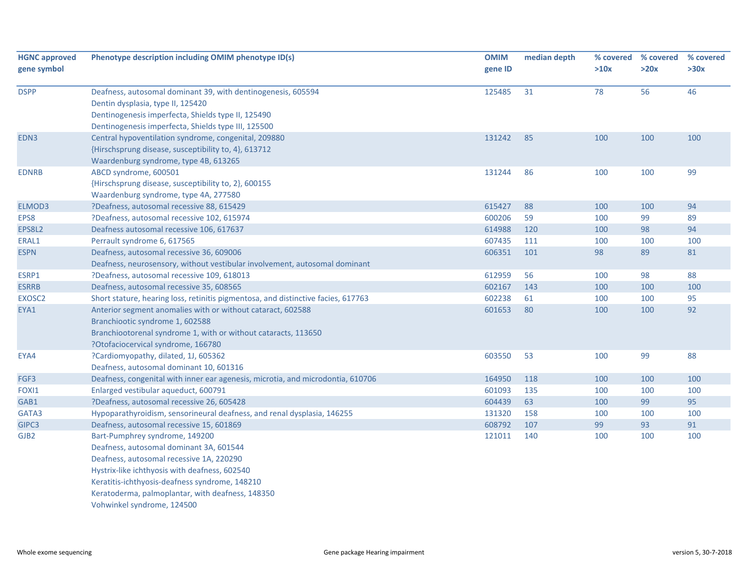| <b>HGNC approved</b> | Phenotype description including OMIM phenotype ID(s)                              | <b>OMIM</b> | median depth | % covered | % covered | % covered |
|----------------------|-----------------------------------------------------------------------------------|-------------|--------------|-----------|-----------|-----------|
| gene symbol          |                                                                                   | gene ID     |              | >10x      | >20x      | >30x      |
| <b>DSPP</b>          | Deafness, autosomal dominant 39, with dentinogenesis, 605594                      | 125485      | 31           | 78        | 56        | 46        |
|                      | Dentin dysplasia, type II, 125420                                                 |             |              |           |           |           |
|                      | Dentinogenesis imperfecta, Shields type II, 125490                                |             |              |           |           |           |
|                      | Dentinogenesis imperfecta, Shields type III, 125500                               |             |              |           |           |           |
| EDN3                 | Central hypoventilation syndrome, congenital, 209880                              | 131242      | 85           | 100       | 100       | 100       |
|                      | {Hirschsprung disease, susceptibility to, 4}, 613712                              |             |              |           |           |           |
|                      | Waardenburg syndrome, type 4B, 613265                                             |             |              |           |           |           |
| <b>EDNRB</b>         | ABCD syndrome, 600501                                                             | 131244      | 86           | 100       | 100       | 99        |
|                      | {Hirschsprung disease, susceptibility to, 2}, 600155                              |             |              |           |           |           |
|                      | Waardenburg syndrome, type 4A, 277580                                             |             |              |           |           |           |
| ELMOD3               | ?Deafness, autosomal recessive 88, 615429                                         | 615427      | 88           | 100       | 100       | 94        |
| EPS8                 | ?Deafness, autosomal recessive 102, 615974                                        | 600206      | 59           | 100       | 99        | 89        |
| EPS8L2               | Deafness autosomal recessive 106, 617637                                          | 614988      | 120          | 100       | 98        | 94        |
| ERAL1                | Perrault syndrome 6, 617565                                                       | 607435      | 111          | 100       | 100       | 100       |
| <b>ESPN</b>          | Deafness, autosomal recessive 36, 609006                                          | 606351      | 101          | 98        | 89        | 81        |
|                      | Deafness, neurosensory, without vestibular involvement, autosomal dominant        |             |              |           |           |           |
| ESRP1                | ?Deafness, autosomal recessive 109, 618013                                        | 612959      | 56           | 100       | 98        | 88        |
| <b>ESRRB</b>         | Deafness, autosomal recessive 35, 608565                                          | 602167      | 143          | 100       | 100       | 100       |
| EXOSC2               | Short stature, hearing loss, retinitis pigmentosa, and distinctive facies, 617763 | 602238      | 61           | 100       | 100       | 95        |
| EYA1                 | Anterior segment anomalies with or without cataract, 602588                       | 601653      | 80           | 100       | 100       | 92        |
|                      | Branchiootic syndrome 1, 602588                                                   |             |              |           |           |           |
|                      | Branchiootorenal syndrome 1, with or without cataracts, 113650                    |             |              |           |           |           |
|                      | ?Otofaciocervical syndrome, 166780                                                |             |              |           |           |           |
| EYA4                 | ?Cardiomyopathy, dilated, 1J, 605362                                              | 603550      | 53           | 100       | 99        | 88        |
|                      | Deafness, autosomal dominant 10, 601316                                           |             |              |           |           |           |
| FGF3                 | Deafness, congenital with inner ear agenesis, microtia, and microdontia, 610706   | 164950      | 118          | 100       | 100       | 100       |
| FOXI1                | Enlarged vestibular aqueduct, 600791                                              | 601093      | 135          | 100       | 100       | 100       |
| GAB1                 | ?Deafness, autosomal recessive 26, 605428                                         | 604439      | 63           | 100       | 99        | 95        |
| GATA3                | Hypoparathyroidism, sensorineural deafness, and renal dysplasia, 146255           | 131320      | 158          | 100       | 100       | 100       |
| GIPC3                | Deafness, autosomal recessive 15, 601869                                          | 608792      | 107          | 99        | 93        | 91        |
| GJB <sub>2</sub>     | Bart-Pumphrey syndrome, 149200                                                    | 121011      | 140          | 100       | 100       | 100       |
|                      | Deafness, autosomal dominant 3A, 601544                                           |             |              |           |           |           |
|                      | Deafness, autosomal recessive 1A, 220290                                          |             |              |           |           |           |
|                      | Hystrix-like ichthyosis with deafness, 602540                                     |             |              |           |           |           |
|                      | Keratitis-ichthyosis-deafness syndrome, 148210                                    |             |              |           |           |           |
|                      | Keratoderma, palmoplantar, with deafness, 148350                                  |             |              |           |           |           |
|                      | Vohwinkel syndrome, 124500                                                        |             |              |           |           |           |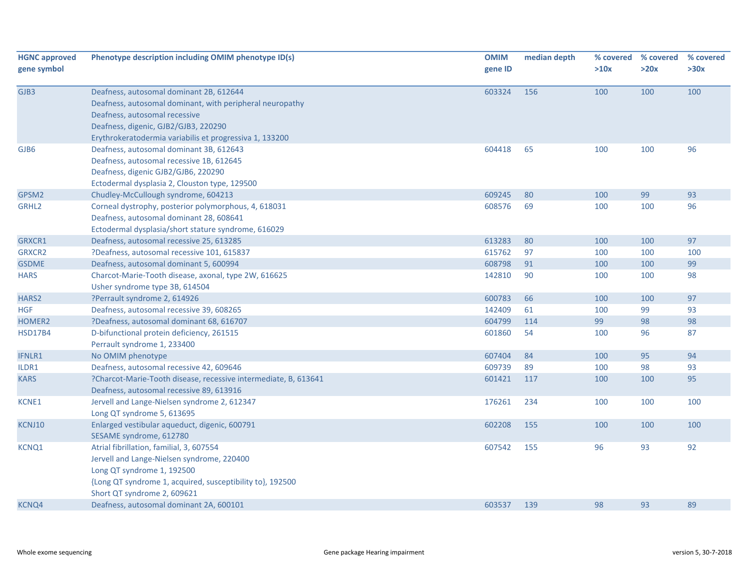| <b>HGNC approved</b><br>gene symbol | Phenotype description including OMIM phenotype ID(s)                                                                                                                                                                                    | <b>OMIM</b><br>gene ID | median depth | >10x | % covered % covered<br>>20x | % covered<br>>30x |
|-------------------------------------|-----------------------------------------------------------------------------------------------------------------------------------------------------------------------------------------------------------------------------------------|------------------------|--------------|------|-----------------------------|-------------------|
| GJB3                                | Deafness, autosomal dominant 2B, 612644<br>Deafness, autosomal dominant, with peripheral neuropathy<br>Deafness, autosomal recessive<br>Deafness, digenic, GJB2/GJB3, 220290<br>Erythrokeratodermia variabilis et progressiva 1, 133200 | 603324                 | 156          | 100  | 100                         | 100               |
| GJB6                                | Deafness, autosomal dominant 3B, 612643<br>Deafness, autosomal recessive 1B, 612645<br>Deafness, digenic GJB2/GJB6, 220290<br>Ectodermal dysplasia 2, Clouston type, 129500                                                             | 604418                 | 65           | 100  | 100                         | 96                |
| GPSM2                               | Chudley-McCullough syndrome, 604213                                                                                                                                                                                                     | 609245                 | 80           | 100  | 99                          | 93                |
| GRHL <sub>2</sub>                   | Corneal dystrophy, posterior polymorphous, 4, 618031<br>Deafness, autosomal dominant 28, 608641<br>Ectodermal dysplasia/short stature syndrome, 616029                                                                                  | 608576                 | 69           | 100  | 100                         | 96                |
| GRXCR1                              | Deafness, autosomal recessive 25, 613285                                                                                                                                                                                                | 613283                 | 80           | 100  | 100                         | 97                |
| <b>GRXCR2</b>                       | ?Deafness, autosomal recessive 101, 615837                                                                                                                                                                                              | 615762                 | 97           | 100  | 100                         | 100               |
| <b>GSDME</b>                        | Deafness, autosomal dominant 5, 600994                                                                                                                                                                                                  | 608798                 | 91           | 100  | 100                         | 99                |
| <b>HARS</b>                         | Charcot-Marie-Tooth disease, axonal, type 2W, 616625<br>Usher syndrome type 3B, 614504                                                                                                                                                  | 142810                 | 90           | 100  | 100                         | 98                |
| HARS2                               | ?Perrault syndrome 2, 614926                                                                                                                                                                                                            | 600783                 | 66           | 100  | 100                         | 97                |
| <b>HGF</b>                          | Deafness, autosomal recessive 39, 608265                                                                                                                                                                                                | 142409                 | 61           | 100  | 99                          | 93                |
| HOMER2                              | ?Deafness, autosomal dominant 68, 616707                                                                                                                                                                                                | 604799                 | 114          | 99   | 98                          | 98                |
| <b>HSD17B4</b>                      | D-bifunctional protein deficiency, 261515<br>Perrault syndrome 1, 233400                                                                                                                                                                | 601860                 | 54           | 100  | 96                          | 87                |
| <b>IFNLR1</b>                       | No OMIM phenotype                                                                                                                                                                                                                       | 607404                 | 84           | 100  | 95                          | 94                |
| ILDR1                               | Deafness, autosomal recessive 42, 609646                                                                                                                                                                                                | 609739                 | 89           | 100  | 98                          | 93                |
| <b>KARS</b>                         | ?Charcot-Marie-Tooth disease, recessive intermediate, B, 613641<br>Deafness, autosomal recessive 89, 613916                                                                                                                             | 601421                 | 117          | 100  | 100                         | 95                |
| KCNE1                               | Jervell and Lange-Nielsen syndrome 2, 612347<br>Long QT syndrome 5, 613695                                                                                                                                                              | 176261                 | 234          | 100  | 100                         | 100               |
| KCNJ10                              | Enlarged vestibular aqueduct, digenic, 600791<br>SESAME syndrome, 612780                                                                                                                                                                | 602208                 | 155          | 100  | 100                         | 100               |
| <b>KCNQ1</b>                        | Atrial fibrillation, familial, 3, 607554<br>Jervell and Lange-Nielsen syndrome, 220400<br>Long QT syndrome 1, 192500<br>{Long QT syndrome 1, acquired, susceptibility to}, 192500<br>Short QT syndrome 2, 609621                        | 607542                 | 155          | 96   | 93                          | 92                |
| <b>KCNQ4</b>                        | Deafness, autosomal dominant 2A, 600101                                                                                                                                                                                                 | 603537                 | 139          | 98   | 93                          | 89                |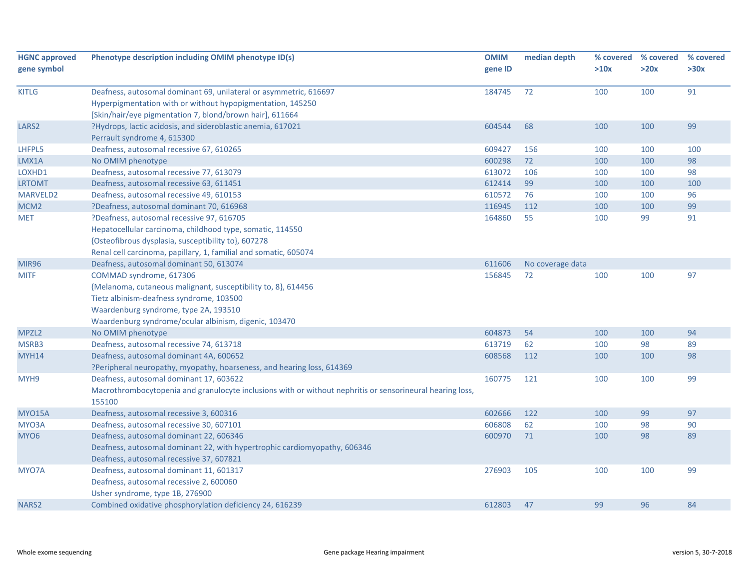| <b>HGNC approved</b> | Phenotype description including OMIM phenotype ID(s)                                                      | <b>OMIM</b> | median depth     | % covered | % covered | % covered |
|----------------------|-----------------------------------------------------------------------------------------------------------|-------------|------------------|-----------|-----------|-----------|
| gene symbol          |                                                                                                           | gene ID     |                  | >10x      | >20x      | >30x      |
| <b>KITLG</b>         | Deafness, autosomal dominant 69, unilateral or asymmetric, 616697                                         | 184745      | 72               | 100       | 100       | 91        |
|                      | Hyperpigmentation with or without hypopigmentation, 145250                                                |             |                  |           |           |           |
|                      | [Skin/hair/eye pigmentation 7, blond/brown hair], 611664                                                  |             |                  |           |           |           |
| LARS <sub>2</sub>    | ?Hydrops, lactic acidosis, and sideroblastic anemia, 617021                                               | 604544      | 68               | 100       | 100       | 99        |
|                      | Perrault syndrome 4, 615300                                                                               |             |                  |           |           |           |
| LHFPL5               | Deafness, autosomal recessive 67, 610265                                                                  | 609427      | 156              | 100       | 100       | 100       |
| LMX1A                | No OMIM phenotype                                                                                         | 600298      | 72               | 100       | 100       | 98        |
| LOXHD1               | Deafness, autosomal recessive 77, 613079                                                                  | 613072      | 106              | 100       | 100       | 98        |
| <b>LRTOMT</b>        | Deafness, autosomal recessive 63, 611451                                                                  | 612414      | 99               | 100       | 100       | 100       |
| MARVELD2             | Deafness, autosomal recessive 49, 610153                                                                  | 610572      | 76               | 100       | 100       | 96        |
| MCM <sub>2</sub>     | ?Deafness, autosomal dominant 70, 616968                                                                  | 116945      | 112              | 100       | 100       | 99        |
| <b>MET</b>           | ?Deafness, autosomal recessive 97, 616705                                                                 | 164860      | 55               | 100       | 99        | 91        |
|                      | Hepatocellular carcinoma, childhood type, somatic, 114550                                                 |             |                  |           |           |           |
|                      | {Osteofibrous dysplasia, susceptibility to}, 607278                                                       |             |                  |           |           |           |
|                      | Renal cell carcinoma, papillary, 1, familial and somatic, 605074                                          |             |                  |           |           |           |
| <b>MIR96</b>         | Deafness, autosomal dominant 50, 613074                                                                   | 611606      | No coverage data |           |           |           |
| <b>MITF</b>          | COMMAD syndrome, 617306                                                                                   | 156845      | 72               | 100       | 100       | 97        |
|                      | {Melanoma, cutaneous malignant, susceptibility to, 8}, 614456                                             |             |                  |           |           |           |
|                      | Tietz albinism-deafness syndrome, 103500                                                                  |             |                  |           |           |           |
|                      | Waardenburg syndrome, type 2A, 193510                                                                     |             |                  |           |           |           |
|                      | Waardenburg syndrome/ocular albinism, digenic, 103470                                                     |             |                  |           |           |           |
| MPZL <sub>2</sub>    | No OMIM phenotype                                                                                         | 604873      | 54               | 100       | 100       | 94        |
| MSRB3                | Deafness, autosomal recessive 74, 613718                                                                  | 613719      | 62               | 100       | 98        | 89        |
| MYH14                | Deafness, autosomal dominant 4A, 600652                                                                   | 608568      | 112              | 100       | 100       | 98        |
|                      | ?Peripheral neuropathy, myopathy, hoarseness, and hearing loss, 614369                                    |             |                  |           |           |           |
| MYH9                 | Deafness, autosomal dominant 17, 603622                                                                   | 160775      | 121              | 100       | 100       | 99        |
|                      | Macrothrombocytopenia and granulocyte inclusions with or without nephritis or sensorineural hearing loss, |             |                  |           |           |           |
|                      | 155100                                                                                                    |             |                  |           |           |           |
| <b>MYO15A</b>        | Deafness, autosomal recessive 3, 600316                                                                   | 602666      | 122              | 100       | 99        | 97        |
| MYO3A                | Deafness, autosomal recessive 30, 607101                                                                  | 606808      | 62               | 100       | 98        | 90        |
| MYO <sub>6</sub>     | Deafness, autosomal dominant 22, 606346                                                                   | 600970      | 71               | 100       | 98        | 89        |
|                      | Deafness, autosomal dominant 22, with hypertrophic cardiomyopathy, 606346                                 |             |                  |           |           |           |
|                      | Deafness, autosomal recessive 37, 607821                                                                  |             |                  |           |           |           |
| MYO7A                | Deafness, autosomal dominant 11, 601317                                                                   | 276903      | 105              | 100       | 100       | 99        |
|                      | Deafness, autosomal recessive 2, 600060                                                                   |             |                  |           |           |           |
|                      | Usher syndrome, type 1B, 276900                                                                           |             |                  |           |           |           |
| NARS <sub>2</sub>    | Combined oxidative phosphorylation deficiency 24, 616239                                                  | 612803      | 47               | 99        | 96        | 84        |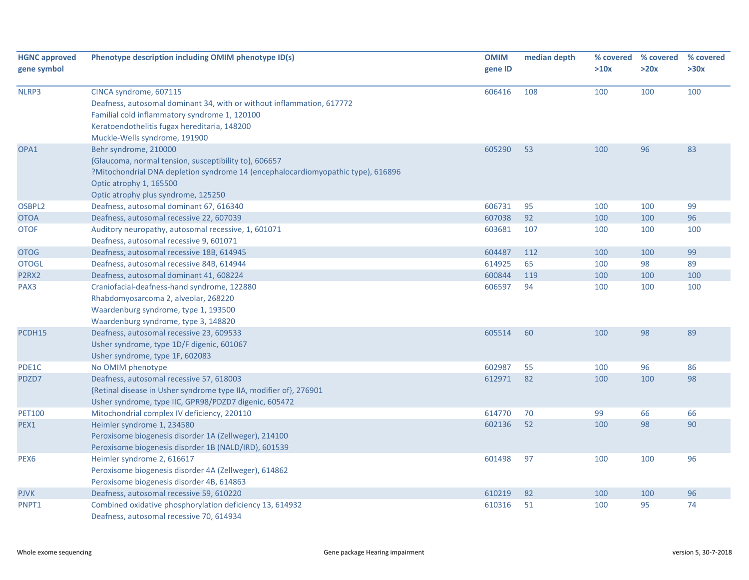| <b>HGNC approved</b><br>gene symbol | Phenotype description including OMIM phenotype ID(s)                                                                                                                                                                                 | <b>OMIM</b><br>gene ID | median depth | >10x | % covered % covered<br>>20x | % covered<br>>30x |
|-------------------------------------|--------------------------------------------------------------------------------------------------------------------------------------------------------------------------------------------------------------------------------------|------------------------|--------------|------|-----------------------------|-------------------|
| NLRP3                               | CINCA syndrome, 607115<br>Deafness, autosomal dominant 34, with or without inflammation, 617772<br>Familial cold inflammatory syndrome 1, 120100<br>Keratoendothelitis fugax hereditaria, 148200<br>Muckle-Wells syndrome, 191900    | 606416                 | 108          | 100  | 100                         | 100               |
| OPA1                                | Behr syndrome, 210000<br>{Glaucoma, normal tension, susceptibility to}, 606657<br>?Mitochondrial DNA depletion syndrome 14 (encephalocardiomyopathic type), 616896<br>Optic atrophy 1, 165500<br>Optic atrophy plus syndrome, 125250 | 605290                 | 53           | 100  | 96                          | 83                |
| OSBPL2                              | Deafness, autosomal dominant 67, 616340                                                                                                                                                                                              | 606731                 | 95           | 100  | 100                         | 99                |
| <b>OTOA</b>                         | Deafness, autosomal recessive 22, 607039                                                                                                                                                                                             | 607038                 | 92           | 100  | 100                         | 96                |
| <b>OTOF</b>                         | Auditory neuropathy, autosomal recessive, 1, 601071<br>Deafness, autosomal recessive 9, 601071                                                                                                                                       | 603681                 | 107          | 100  | 100                         | 100               |
| <b>OTOG</b>                         | Deafness, autosomal recessive 18B, 614945                                                                                                                                                                                            | 604487                 | 112          | 100  | 100                         | 99                |
| <b>OTOGL</b>                        | Deafness, autosomal recessive 84B, 614944                                                                                                                                                                                            | 614925                 | 65           | 100  | 98                          | 89                |
| P2RX2                               | Deafness, autosomal dominant 41, 608224                                                                                                                                                                                              | 600844                 | 119          | 100  | 100                         | 100               |
| PAX3                                | Craniofacial-deafness-hand syndrome, 122880<br>Rhabdomyosarcoma 2, alveolar, 268220<br>Waardenburg syndrome, type 1, 193500<br>Waardenburg syndrome, type 3, 148820                                                                  | 606597                 | 94           | 100  | 100                         | 100               |
| PCDH15                              | Deafness, autosomal recessive 23, 609533<br>Usher syndrome, type 1D/F digenic, 601067<br>Usher syndrome, type 1F, 602083                                                                                                             | 605514                 | 60           | 100  | 98                          | 89                |
| PDE1C                               | No OMIM phenotype                                                                                                                                                                                                                    | 602987                 | 55           | 100  | 96                          | 86                |
| PDZD7                               | Deafness, autosomal recessive 57, 618003<br>{Retinal disease in Usher syndrome type IIA, modifier of}, 276901<br>Usher syndrome, type IIC, GPR98/PDZD7 digenic, 605472                                                               | 612971                 | 82           | 100  | 100                         | 98                |
| <b>PET100</b>                       | Mitochondrial complex IV deficiency, 220110                                                                                                                                                                                          | 614770                 | 70           | 99   | 66                          | 66                |
| PEX1                                | Heimler syndrome 1, 234580<br>Peroxisome biogenesis disorder 1A (Zellweger), 214100<br>Peroxisome biogenesis disorder 1B (NALD/IRD), 601539                                                                                          | 602136                 | 52           | 100  | 98                          | 90                |
| PEX <sub>6</sub>                    | Heimler syndrome 2, 616617<br>Peroxisome biogenesis disorder 4A (Zellweger), 614862<br>Peroxisome biogenesis disorder 4B, 614863                                                                                                     | 601498                 | 97           | 100  | 100                         | 96                |
| <b>PJVK</b>                         | Deafness, autosomal recessive 59, 610220                                                                                                                                                                                             | 610219                 | 82           | 100  | 100                         | 96                |
| PNPT1                               | Combined oxidative phosphorylation deficiency 13, 614932<br>Deafness, autosomal recessive 70, 614934                                                                                                                                 | 610316                 | 51           | 100  | 95                          | 74                |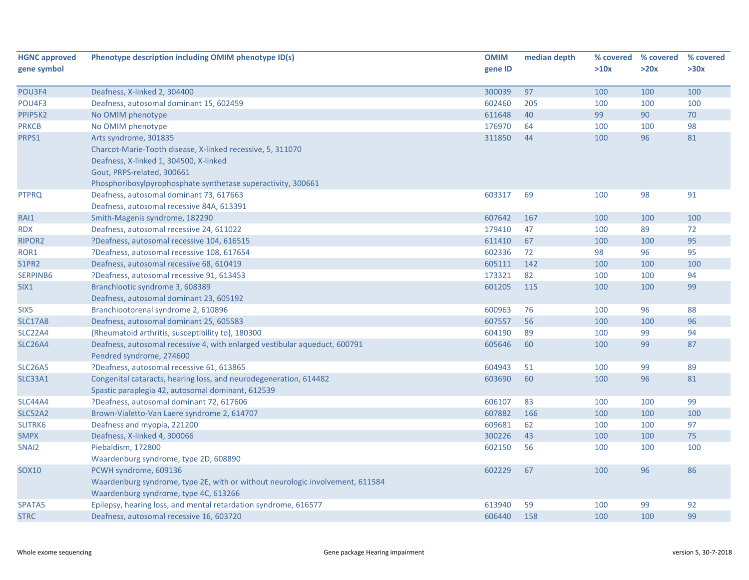| <b>HGNC approved</b> | Phenotype description including OMIM phenotype ID(s)                          | <b>OMIM</b> | median depth | % covered | % covered | % covered |
|----------------------|-------------------------------------------------------------------------------|-------------|--------------|-----------|-----------|-----------|
| gene symbol          |                                                                               | gene ID     |              | >10x      | >20x      | >30x      |
|                      |                                                                               |             |              |           |           |           |
| POU3F4               | Deafness, X-linked 2, 304400                                                  | 300039      | 97           | 100       | 100       | 100       |
| POU4F3               | Deafness, autosomal dominant 15, 602459                                       | 602460      | 205          | 100       | 100       | 100       |
| PPIP5K2              | No OMIM phenotype                                                             | 611648      | 40           | 99        | 90        | $70\,$    |
| <b>PRKCB</b>         | No OMIM phenotype                                                             | 176970      | 64           | 100       | 100       | 98        |
| PRPS1                | Arts syndrome, 301835                                                         | 311850      | 44           | 100       | 96        | 81        |
|                      | Charcot-Marie-Tooth disease, X-linked recessive, 5, 311070                    |             |              |           |           |           |
|                      | Deafness, X-linked 1, 304500, X-linked                                        |             |              |           |           |           |
|                      | Gout, PRPS-related, 300661                                                    |             |              |           |           |           |
|                      | Phosphoribosylpyrophosphate synthetase superactivity, 300661                  |             |              |           |           |           |
| <b>PTPRQ</b>         | Deafness, autosomal dominant 73, 617663                                       | 603317      | 69           | 100       | 98        | 91        |
|                      | Deafness, autosomal recessive 84A, 613391                                     |             |              |           |           |           |
| RAI1                 | Smith-Magenis syndrome, 182290                                                | 607642      | 167          | 100       | 100       | 100       |
| <b>RDX</b>           | Deafness, autosomal recessive 24, 611022                                      | 179410      | 47           | 100       | 89        | 72        |
| <b>RIPOR2</b>        | ?Deafness, autosomal recessive 104, 616515                                    | 611410      | 67           | 100       | 100       | 95        |
| ROR1                 | ?Deafness, autosomal recessive 108, 617654                                    | 602336      | 72           | 98        | 96        | 95        |
| <b>S1PR2</b>         | Deafness, autosomal recessive 68, 610419                                      | 605111      | 142          | 100       | 100       | 100       |
| <b>SERPINB6</b>      | ?Deafness, autosomal recessive 91, 613453                                     | 173321      | 82           | 100       | 100       | 94        |
| SIX1                 | Branchiootic syndrome 3, 608389                                               | 601205      | 115          | 100       | 100       | 99        |
|                      | Deafness, autosomal dominant 23, 605192                                       |             |              |           |           |           |
| SIX <sub>5</sub>     | Branchiootorenal syndrome 2, 610896                                           | 600963      | 76           | 100       | 96        | 88        |
| <b>SLC17A8</b>       | Deafness, autosomal dominant 25, 605583                                       | 607557      | 56           | 100       | 100       | 96        |
| <b>SLC22A4</b>       | {Rheumatoid arthritis, susceptibility to}, 180300                             | 604190      | 89           | 100       | 99        | 94        |
| <b>SLC26A4</b>       | Deafness, autosomal recessive 4, with enlarged vestibular aqueduct, 600791    | 605646      | 60           | 100       | 99        | 87        |
|                      | Pendred syndrome, 274600                                                      |             |              |           |           |           |
| <b>SLC26A5</b>       | ?Deafness, autosomal recessive 61, 613865                                     | 604943      | 51           | 100       | 99        | 89        |
| <b>SLC33A1</b>       | Congenital cataracts, hearing loss, and neurodegeneration, 614482             | 603690      | 60           | 100       | 96        | 81        |
|                      | Spastic paraplegia 42, autosomal dominant, 612539                             |             |              |           |           |           |
| SLC44A4              | ?Deafness, autosomal dominant 72, 617606                                      | 606107      | 83           | 100       | 100       | 99        |
| <b>SLC52A2</b>       | Brown-Vialetto-Van Laere syndrome 2, 614707                                   | 607882      | 166          | 100       | 100       | 100       |
| SLITRK6              | Deafness and myopia, 221200                                                   | 609681      | 62           | 100       | 100       | 97        |
| <b>SMPX</b>          | Deafness, X-linked 4, 300066                                                  | 300226      | 43           | 100       | 100       | 75        |
| SNAI <sub>2</sub>    | Piebaldism, 172800                                                            | 602150      | 56           | 100       | 100       | 100       |
|                      | Waardenburg syndrome, type 2D, 608890                                         |             |              |           |           |           |
| <b>SOX10</b>         | PCWH syndrome, 609136                                                         | 602229      | 67           | 100       | 96        | 86        |
|                      | Waardenburg syndrome, type 2E, with or without neurologic involvement, 611584 |             |              |           |           |           |
|                      | Waardenburg syndrome, type 4C, 613266                                         |             |              |           |           |           |
| SPATA5               | Epilepsy, hearing loss, and mental retardation syndrome, 616577               | 613940      | 59           | 100       | 99        | 92        |
| <b>STRC</b>          | Deafness, autosomal recessive 16, 603720                                      | 606440      | 158          | 100       | 100       | 99        |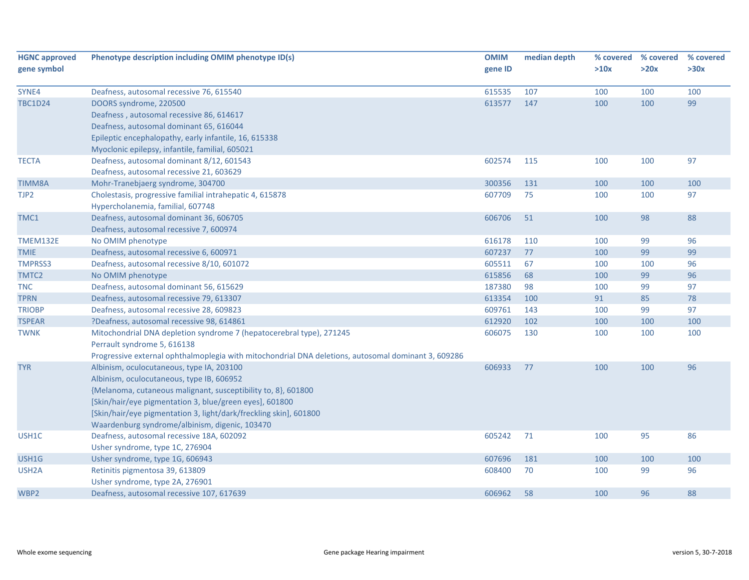| <b>HGNC approved</b> | Phenotype description including OMIM phenotype ID(s)                                                | <b>OMIM</b> | median depth | % covered | % covered | % covered |
|----------------------|-----------------------------------------------------------------------------------------------------|-------------|--------------|-----------|-----------|-----------|
| gene symbol          |                                                                                                     | gene ID     |              | >10x      | >20x      | >30x      |
| SYNE4                | Deafness, autosomal recessive 76, 615540                                                            | 615535      | 107          | 100       | 100       | 100       |
| <b>TBC1D24</b>       | DOORS syndrome, 220500                                                                              | 613577      | 147          | 100       | 100       | 99        |
|                      | Deafness, autosomal recessive 86, 614617                                                            |             |              |           |           |           |
|                      | Deafness, autosomal dominant 65, 616044                                                             |             |              |           |           |           |
|                      | Epileptic encephalopathy, early infantile, 16, 615338                                               |             |              |           |           |           |
|                      | Myoclonic epilepsy, infantile, familial, 605021                                                     |             |              |           |           |           |
| <b>TECTA</b>         | Deafness, autosomal dominant 8/12, 601543                                                           | 602574      | 115          | 100       | 100       | 97        |
|                      | Deafness, autosomal recessive 21, 603629                                                            |             |              |           |           |           |
| <b>TIMM8A</b>        | Mohr-Tranebjaerg syndrome, 304700                                                                   | 300356      | 131          | 100       | 100       | 100       |
| TJP2                 | Cholestasis, progressive familial intrahepatic 4, 615878                                            | 607709      | 75           | 100       | 100       | 97        |
|                      | Hypercholanemia, familial, 607748                                                                   |             |              |           |           |           |
| TMC1                 | Deafness, autosomal dominant 36, 606705                                                             | 606706      | 51           | 100       | 98        | 88        |
|                      | Deafness, autosomal recessive 7, 600974                                                             |             |              |           |           |           |
| <b>TMEM132E</b>      | No OMIM phenotype                                                                                   | 616178      | 110          | 100       | 99        | 96        |
| <b>TMIE</b>          | Deafness, autosomal recessive 6, 600971                                                             | 607237      | 77           | 100       | 99        | 99        |
| <b>TMPRSS3</b>       | Deafness, autosomal recessive 8/10, 601072                                                          | 605511      | 67           | 100       | 100       | 96        |
| TMTC2                | No OMIM phenotype                                                                                   | 615856      | 68           | 100       | 99        | 96        |
| <b>TNC</b>           | Deafness, autosomal dominant 56, 615629                                                             | 187380      | 98           | 100       | 99        | 97        |
| <b>TPRN</b>          | Deafness, autosomal recessive 79, 613307                                                            | 613354      | 100          | 91        | 85        | 78        |
| <b>TRIOBP</b>        | Deafness, autosomal recessive 28, 609823                                                            | 609761      | 143          | 100       | 99        | 97        |
| <b>TSPEAR</b>        | ?Deafness, autosomal recessive 98, 614861                                                           | 612920      | 102          | 100       | 100       | 100       |
| <b>TWNK</b>          | Mitochondrial DNA depletion syndrome 7 (hepatocerebral type), 271245<br>Perrault syndrome 5, 616138 | 606075      | 130          | 100       | 100       | 100       |
|                      | Progressive external ophthalmoplegia with mitochondrial DNA deletions, autosomal dominant 3, 609286 |             |              |           |           |           |
| <b>TYR</b>           | Albinism, oculocutaneous, type IA, 203100                                                           | 606933      | 77           | 100       | 100       | 96        |
|                      | Albinism, oculocutaneous, type IB, 606952                                                           |             |              |           |           |           |
|                      | {Melanoma, cutaneous malignant, susceptibility to, 8}, 601800                                       |             |              |           |           |           |
|                      | [Skin/hair/eye pigmentation 3, blue/green eyes], 601800                                             |             |              |           |           |           |
|                      | [Skin/hair/eye pigmentation 3, light/dark/freckling skin], 601800                                   |             |              |           |           |           |
|                      | Waardenburg syndrome/albinism, digenic, 103470                                                      |             |              |           |           |           |
| USH1C                | Deafness, autosomal recessive 18A, 602092                                                           | 605242      | 71           | 100       | 95        | 86        |
|                      | Usher syndrome, type 1C, 276904                                                                     |             |              |           |           |           |
| USH1G                | Usher syndrome, type 1G, 606943                                                                     | 607696      | 181          | 100       | 100       | 100       |
| USH <sub>2</sub> A   | Retinitis pigmentosa 39, 613809                                                                     | 608400      | 70           | 100       | 99        | 96        |
|                      | Usher syndrome, type 2A, 276901                                                                     |             |              |           |           |           |
| WBP2                 | Deafness, autosomal recessive 107, 617639                                                           | 606962      | 58           | 100       | 96        | 88        |